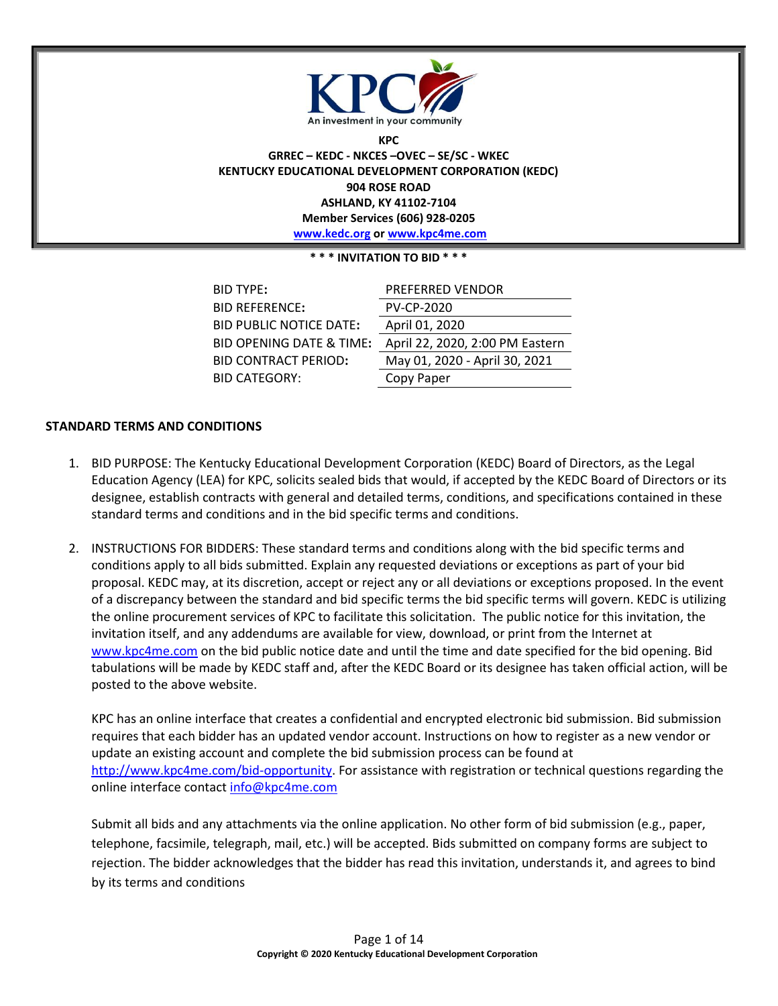

**KPC GRREC – KEDC - NKCES –OVEC – SE/SC - WKEC KENTUCKY EDUCATIONAL DEVELOPMENT CORPORATION (KEDC) 904 ROSE ROAD ASHLAND, KY 41102-7104 Member Services (606) 928-0205 [www.kedc.org](http://www.kedc.org/) or [www.kpc4me.com](http://www.kpc4me.com/)**

#### **\* \* \* INVITATION TO BID \* \* \***

| <b>BID TYPE:</b>                    | <b>PREFERRED VENDOR</b>         |
|-------------------------------------|---------------------------------|
| <b>BID REFERENCE:</b>               | <b>PV-CP-2020</b>               |
| <b>BID PUBLIC NOTICE DATE:</b>      | April 01, 2020                  |
| <b>BID OPENING DATE &amp; TIME:</b> | April 22, 2020, 2:00 PM Eastern |
| <b>BID CONTRACT PERIOD:</b>         | May 01, 2020 - April 30, 2021   |
| <b>BID CATEGORY:</b>                | Copy Paper                      |

### **STANDARD TERMS AND CONDITIONS**

- 1. BID PURPOSE: The Kentucky Educational Development Corporation (KEDC) Board of Directors, as the Legal Education Agency (LEA) for KPC, solicits sealed bids that would, if accepted by the KEDC Board of Directors or its designee, establish contracts with general and detailed terms, conditions, and specifications contained in these standard terms and conditions and in the bid specific terms and conditions.
- 2. INSTRUCTIONS FOR BIDDERS: These standard terms and conditions along with the bid specific terms and conditions apply to all bids submitted. Explain any requested deviations or exceptions as part of your bid proposal. KEDC may, at its discretion, accept or reject any or all deviations or exceptions proposed. In the event of a discrepancy between the standard and bid specific terms the bid specific terms will govern. KEDC is utilizing the online procurement services of KPC to facilitate this solicitation. The public notice for this invitation, the invitation itself, and any addendums are available for view, download, or print from the Internet at [www.kpc4me.com](http://www.kpc4me.com/) on the bid public notice date and until the time and date specified for the bid opening. Bid tabulations will be made by KEDC staff and, after the KEDC Board or its designee has taken official action, will be posted to the above website.

KPC has an online interface that creates a confidential and encrypted electronic bid submission. Bid submission requires that each bidder has an updated vendor account. Instructions on how to register as a new vendor or update an existing account and complete the bid submission process can be found at [http://www.kpc4me.com/bid-opportunity.](http://www.kpc4me.com/bid-opportunity) For assistance with registration or technical questions regarding the online interface contact [info@kpc4me.com](mailto:info@kpc4me.com)

Submit all bids and any attachments via the online application. No other form of bid submission (e.g., paper, telephone, facsimile, telegraph, mail, etc.) will be accepted. Bids submitted on company forms are subject to rejection. The bidder acknowledges that the bidder has read this invitation, understands it, and agrees to bind by its terms and conditions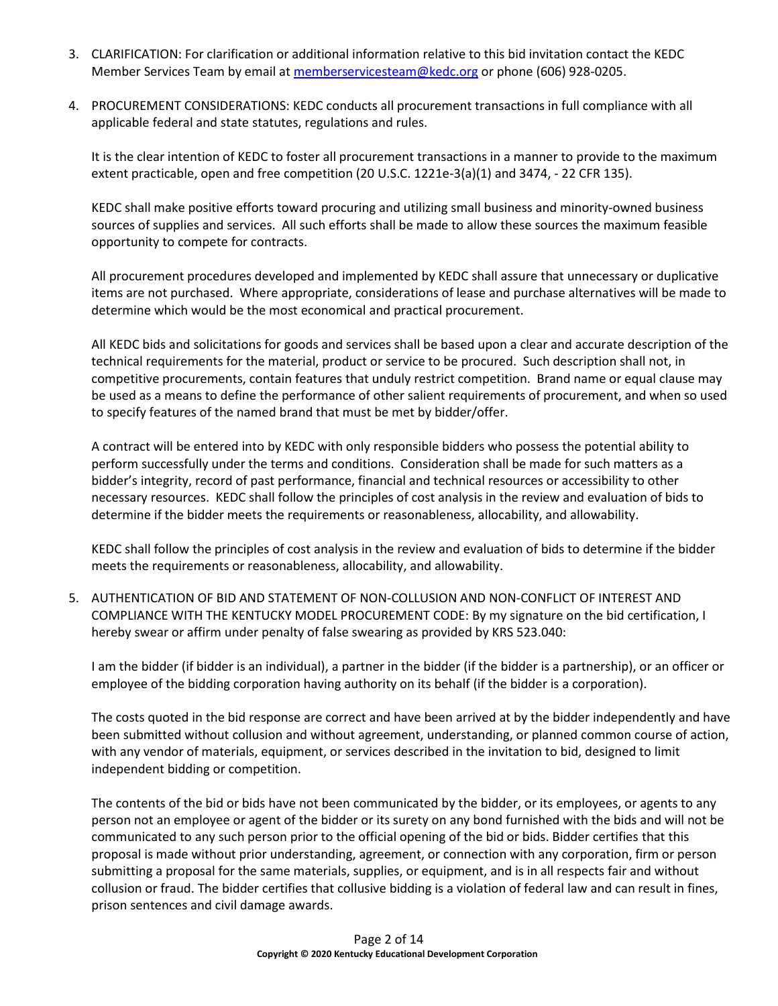- 3. CLARIFICATION: For clarification or additional information relative to this bid invitation contact the KEDC Member Services Team by email at [memberservicesteam@kedc.org](mailto:memberservicesteam@kedc.org) or phone (606) 928-0205.
- 4. PROCUREMENT CONSIDERATIONS: KEDC conducts all procurement transactions in full compliance with all applicable federal and state statutes, regulations and rules.

It is the clear intention of KEDC to foster all procurement transactions in a manner to provide to the maximum extent practicable, open and free competition (20 U.S.C. 1221e-3(a)(1) and 3474, - 22 CFR 135).

KEDC shall make positive efforts toward procuring and utilizing small business and minority-owned business sources of supplies and services. All such efforts shall be made to allow these sources the maximum feasible opportunity to compete for contracts.

All procurement procedures developed and implemented by KEDC shall assure that unnecessary or duplicative items are not purchased. Where appropriate, considerations of lease and purchase alternatives will be made to determine which would be the most economical and practical procurement.

All KEDC bids and solicitations for goods and services shall be based upon a clear and accurate description of the technical requirements for the material, product or service to be procured. Such description shall not, in competitive procurements, contain features that unduly restrict competition. Brand name or equal clause may be used as a means to define the performance of other salient requirements of procurement, and when so used to specify features of the named brand that must be met by bidder/offer.

A contract will be entered into by KEDC with only responsible bidders who possess the potential ability to perform successfully under the terms and conditions. Consideration shall be made for such matters as a bidder's integrity, record of past performance, financial and technical resources or accessibility to other necessary resources. KEDC shall follow the principles of cost analysis in the review and evaluation of bids to determine if the bidder meets the requirements or reasonableness, allocability, and allowability.

KEDC shall follow the principles of cost analysis in the review and evaluation of bids to determine if the bidder meets the requirements or reasonableness, allocability, and allowability.

5. AUTHENTICATION OF BID AND STATEMENT OF NON-COLLUSION AND NON-CONFLICT OF INTEREST AND COMPLIANCE WITH THE KENTUCKY MODEL PROCUREMENT CODE: By my signature on the bid certification, I hereby swear or affirm under penalty of false swearing as provided by KRS 523.040:

I am the bidder (if bidder is an individual), a partner in the bidder (if the bidder is a partnership), or an officer or employee of the bidding corporation having authority on its behalf (if the bidder is a corporation).

The costs quoted in the bid response are correct and have been arrived at by the bidder independently and have been submitted without collusion and without agreement, understanding, or planned common course of action, with any vendor of materials, equipment, or services described in the invitation to bid, designed to limit independent bidding or competition.

The contents of the bid or bids have not been communicated by the bidder, or its employees, or agents to any person not an employee or agent of the bidder or its surety on any bond furnished with the bids and will not be communicated to any such person prior to the official opening of the bid or bids. Bidder certifies that this proposal is made without prior understanding, agreement, or connection with any corporation, firm or person submitting a proposal for the same materials, supplies, or equipment, and is in all respects fair and without collusion or fraud. The bidder certifies that collusive bidding is a violation of federal law and can result in fines, prison sentences and civil damage awards.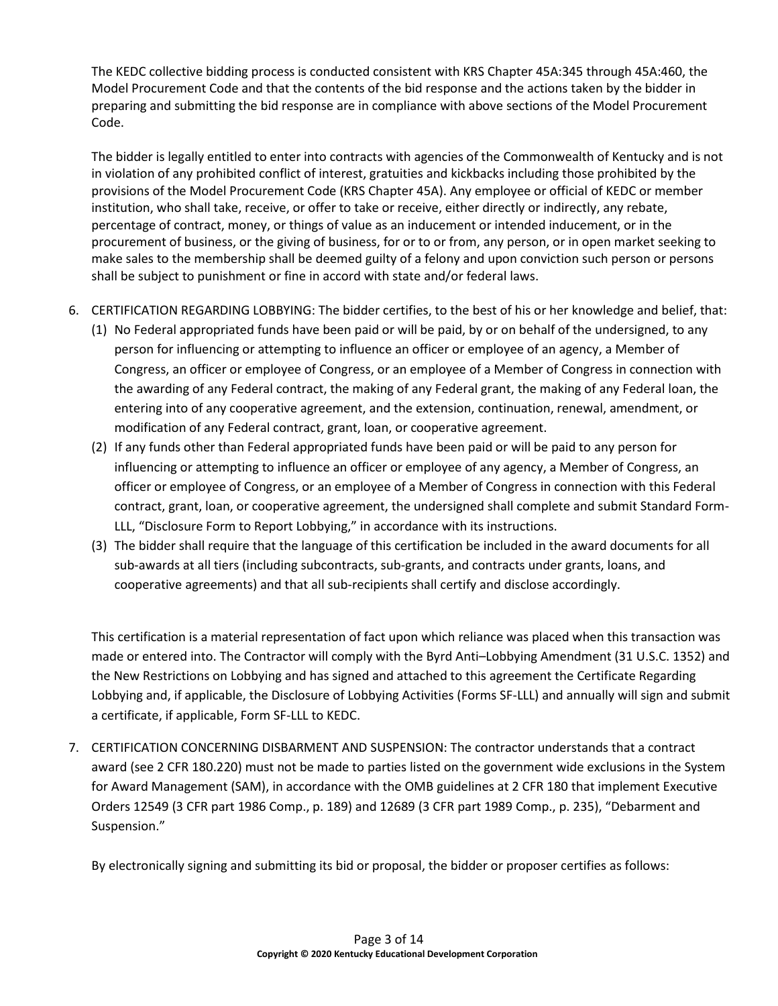The KEDC collective bidding process is conducted consistent with KRS Chapter 45A:345 through 45A:460, the Model Procurement Code and that the contents of the bid response and the actions taken by the bidder in preparing and submitting the bid response are in compliance with above sections of the Model Procurement Code.

The bidder is legally entitled to enter into contracts with agencies of the Commonwealth of Kentucky and is not in violation of any prohibited conflict of interest, gratuities and kickbacks including those prohibited by the provisions of the Model Procurement Code (KRS Chapter 45A). Any employee or official of KEDC or member institution, who shall take, receive, or offer to take or receive, either directly or indirectly, any rebate, percentage of contract, money, or things of value as an inducement or intended inducement, or in the procurement of business, or the giving of business, for or to or from, any person, or in open market seeking to make sales to the membership shall be deemed guilty of a felony and upon conviction such person or persons shall be subject to punishment or fine in accord with state and/or federal laws.

- 6. CERTIFICATION REGARDING LOBBYING: The bidder certifies, to the best of his or her knowledge and belief, that:
	- (1) No Federal appropriated funds have been paid or will be paid, by or on behalf of the undersigned, to any person for influencing or attempting to influence an officer or employee of an agency, a Member of Congress, an officer or employee of Congress, or an employee of a Member of Congress in connection with the awarding of any Federal contract, the making of any Federal grant, the making of any Federal loan, the entering into of any cooperative agreement, and the extension, continuation, renewal, amendment, or modification of any Federal contract, grant, loan, or cooperative agreement.
	- (2) If any funds other than Federal appropriated funds have been paid or will be paid to any person for influencing or attempting to influence an officer or employee of any agency, a Member of Congress, an officer or employee of Congress, or an employee of a Member of Congress in connection with this Federal contract, grant, loan, or cooperative agreement, the undersigned shall complete and submit Standard Form-LLL, "Disclosure Form to Report Lobbying," in accordance with its instructions.
	- (3) The bidder shall require that the language of this certification be included in the award documents for all sub-awards at all tiers (including subcontracts, sub-grants, and contracts under grants, loans, and cooperative agreements) and that all sub-recipients shall certify and disclose accordingly.

This certification is a material representation of fact upon which reliance was placed when this transaction was made or entered into. The Contractor will comply with the Byrd Anti–Lobbying Amendment (31 U.S.C. 1352) and the New Restrictions on Lobbying and has signed and attached to this agreement the Certificate Regarding Lobbying and, if applicable, the Disclosure of Lobbying Activities (Forms SF-LLL) and annually will sign and submit a certificate, if applicable, Form SF-LLL to KEDC.

7. CERTIFICATION CONCERNING DISBARMENT AND SUSPENSION: The contractor understands that a contract award (see 2 CFR 180.220) must not be made to parties listed on the government wide exclusions in the System for Award Management (SAM), in accordance with the OMB guidelines at 2 CFR 180 that implement Executive Orders 12549 (3 CFR part 1986 Comp., p. 189) and 12689 (3 CFR part 1989 Comp., p. 235), "Debarment and Suspension."

By electronically signing and submitting its bid or proposal, the bidder or proposer certifies as follows: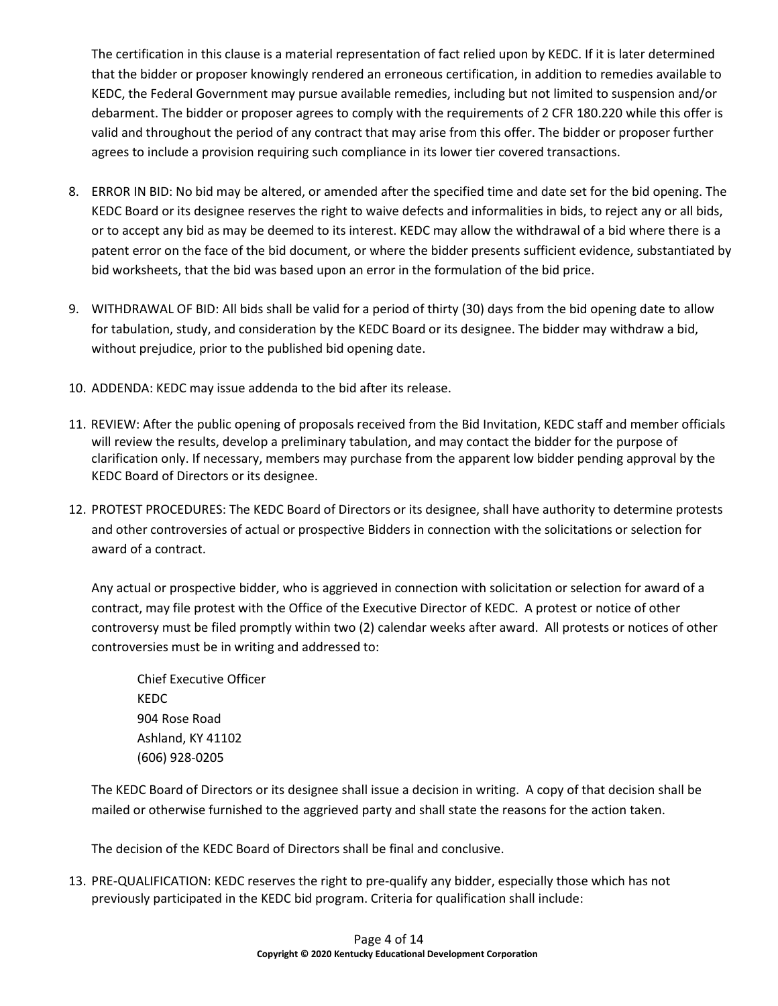The certification in this clause is a material representation of fact relied upon by KEDC. If it is later determined that the bidder or proposer knowingly rendered an erroneous certification, in addition to remedies available to KEDC, the Federal Government may pursue available remedies, including but not limited to suspension and/or debarment. The bidder or proposer agrees to comply with the requirements of 2 CFR 180.220 while this offer is valid and throughout the period of any contract that may arise from this offer. The bidder or proposer further agrees to include a provision requiring such compliance in its lower tier covered transactions.

- 8. ERROR IN BID: No bid may be altered, or amended after the specified time and date set for the bid opening. The KEDC Board or its designee reserves the right to waive defects and informalities in bids, to reject any or all bids, or to accept any bid as may be deemed to its interest. KEDC may allow the withdrawal of a bid where there is a patent error on the face of the bid document, or where the bidder presents sufficient evidence, substantiated by bid worksheets, that the bid was based upon an error in the formulation of the bid price.
- 9. WITHDRAWAL OF BID: All bids shall be valid for a period of thirty (30) days from the bid opening date to allow for tabulation, study, and consideration by the KEDC Board or its designee. The bidder may withdraw a bid, without prejudice, prior to the published bid opening date.
- 10. ADDENDA: KEDC may issue addenda to the bid after its release.
- 11. REVIEW: After the public opening of proposals received from the Bid Invitation, KEDC staff and member officials will review the results, develop a preliminary tabulation, and may contact the bidder for the purpose of clarification only. If necessary, members may purchase from the apparent low bidder pending approval by the KEDC Board of Directors or its designee.
- 12. PROTEST PROCEDURES: The KEDC Board of Directors or its designee, shall have authority to determine protests and other controversies of actual or prospective Bidders in connection with the solicitations or selection for award of a contract.

Any actual or prospective bidder, who is aggrieved in connection with solicitation or selection for award of a contract, may file protest with the Office of the Executive Director of KEDC. A protest or notice of other controversy must be filed promptly within two (2) calendar weeks after award. All protests or notices of other controversies must be in writing and addressed to:

Chief Executive Officer KEDC 904 Rose Road Ashland, KY 41102 (606) 928-0205

The KEDC Board of Directors or its designee shall issue a decision in writing. A copy of that decision shall be mailed or otherwise furnished to the aggrieved party and shall state the reasons for the action taken.

The decision of the KEDC Board of Directors shall be final and conclusive.

13. PRE-QUALIFICATION: KEDC reserves the right to pre-qualify any bidder, especially those which has not previously participated in the KEDC bid program. Criteria for qualification shall include: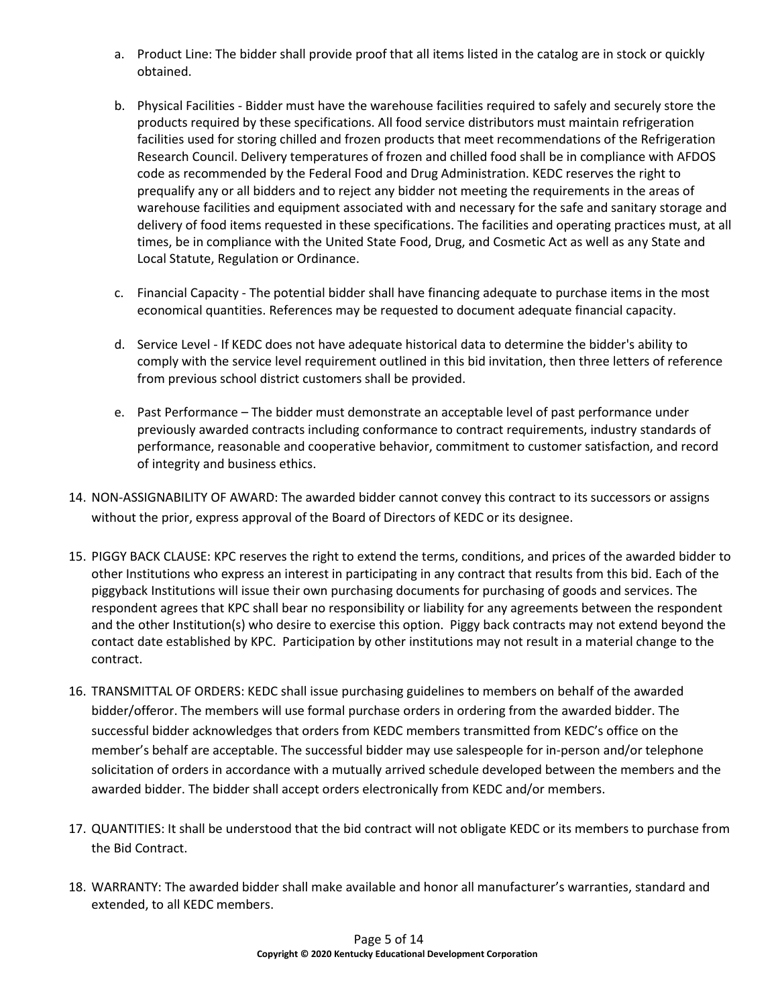- a. Product Line: The bidder shall provide proof that all items listed in the catalog are in stock or quickly obtained.
- b. Physical Facilities Bidder must have the warehouse facilities required to safely and securely store the products required by these specifications. All food service distributors must maintain refrigeration facilities used for storing chilled and frozen products that meet recommendations of the Refrigeration Research Council. Delivery temperatures of frozen and chilled food shall be in compliance with AFDOS code as recommended by the Federal Food and Drug Administration. KEDC reserves the right to prequalify any or all bidders and to reject any bidder not meeting the requirements in the areas of warehouse facilities and equipment associated with and necessary for the safe and sanitary storage and delivery of food items requested in these specifications. The facilities and operating practices must, at all times, be in compliance with the United State Food, Drug, and Cosmetic Act as well as any State and Local Statute, Regulation or Ordinance.
- c. Financial Capacity The potential bidder shall have financing adequate to purchase items in the most economical quantities. References may be requested to document adequate financial capacity.
- d. Service Level If KEDC does not have adequate historical data to determine the bidder's ability to comply with the service level requirement outlined in this bid invitation, then three letters of reference from previous school district customers shall be provided.
- e. Past Performance The bidder must demonstrate an acceptable level of past performance under previously awarded contracts including conformance to contract requirements, industry standards of performance, reasonable and cooperative behavior, commitment to customer satisfaction, and record of integrity and business ethics.
- 14. NON-ASSIGNABILITY OF AWARD: The awarded bidder cannot convey this contract to its successors or assigns without the prior, express approval of the Board of Directors of KEDC or its designee.
- 15. PIGGY BACK CLAUSE: KPC reserves the right to extend the terms, conditions, and prices of the awarded bidder to other Institutions who express an interest in participating in any contract that results from this bid. Each of the piggyback Institutions will issue their own purchasing documents for purchasing of goods and services. The respondent agrees that KPC shall bear no responsibility or liability for any agreements between the respondent and the other Institution(s) who desire to exercise this option. Piggy back contracts may not extend beyond the contact date established by KPC. Participation by other institutions may not result in a material change to the contract.
- 16. TRANSMITTAL OF ORDERS: KEDC shall issue purchasing guidelines to members on behalf of the awarded bidder/offeror. The members will use formal purchase orders in ordering from the awarded bidder. The successful bidder acknowledges that orders from KEDC members transmitted from KEDC's office on the member's behalf are acceptable. The successful bidder may use salespeople for in-person and/or telephone solicitation of orders in accordance with a mutually arrived schedule developed between the members and the awarded bidder. The bidder shall accept orders electronically from KEDC and/or members.
- 17. QUANTITIES: It shall be understood that the bid contract will not obligate KEDC or its members to purchase from the Bid Contract.
- 18. WARRANTY: The awarded bidder shall make available and honor all manufacturer's warranties, standard and extended, to all KEDC members.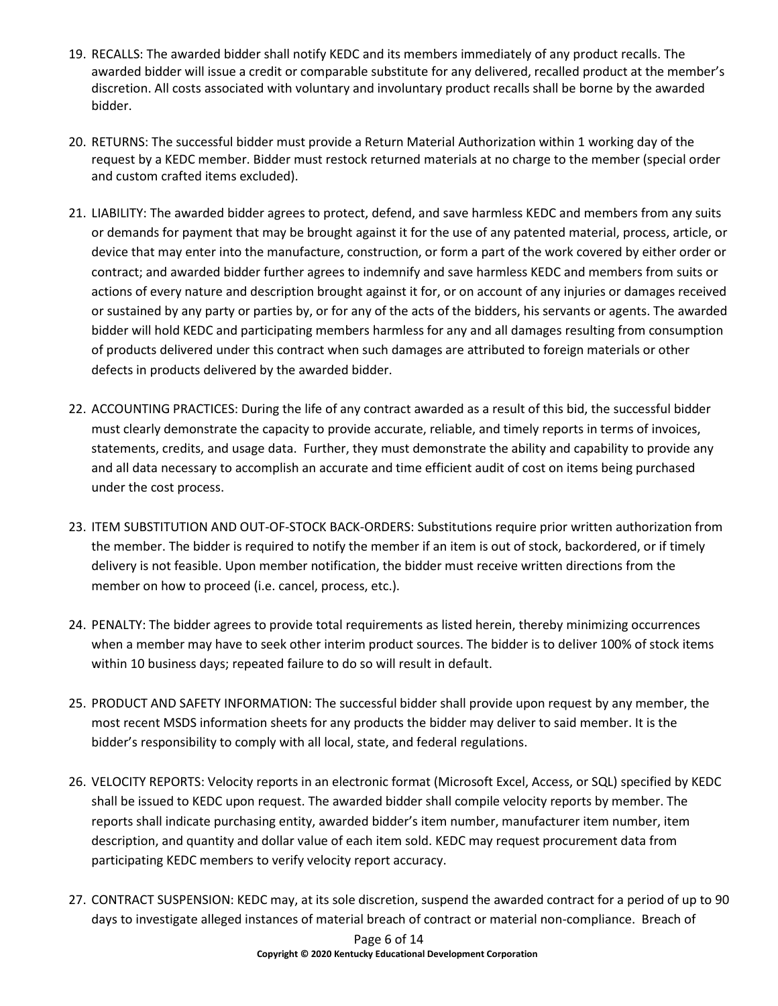- 19. RECALLS: The awarded bidder shall notify KEDC and its members immediately of any product recalls. The awarded bidder will issue a credit or comparable substitute for any delivered, recalled product at the member's discretion. All costs associated with voluntary and involuntary product recalls shall be borne by the awarded bidder.
- 20. RETURNS: The successful bidder must provide a Return Material Authorization within 1 working day of the request by a KEDC member. Bidder must restock returned materials at no charge to the member (special order and custom crafted items excluded).
- 21. LIABILITY: The awarded bidder agrees to protect, defend, and save harmless KEDC and members from any suits or demands for payment that may be brought against it for the use of any patented material, process, article, or device that may enter into the manufacture, construction, or form a part of the work covered by either order or contract; and awarded bidder further agrees to indemnify and save harmless KEDC and members from suits or actions of every nature and description brought against it for, or on account of any injuries or damages received or sustained by any party or parties by, or for any of the acts of the bidders, his servants or agents. The awarded bidder will hold KEDC and participating members harmless for any and all damages resulting from consumption of products delivered under this contract when such damages are attributed to foreign materials or other defects in products delivered by the awarded bidder.
- 22. ACCOUNTING PRACTICES: During the life of any contract awarded as a result of this bid, the successful bidder must clearly demonstrate the capacity to provide accurate, reliable, and timely reports in terms of invoices, statements, credits, and usage data. Further, they must demonstrate the ability and capability to provide any and all data necessary to accomplish an accurate and time efficient audit of cost on items being purchased under the cost process.
- 23. ITEM SUBSTITUTION AND OUT-OF-STOCK BACK-ORDERS: Substitutions require prior written authorization from the member. The bidder is required to notify the member if an item is out of stock, backordered, or if timely delivery is not feasible. Upon member notification, the bidder must receive written directions from the member on how to proceed (i.e. cancel, process, etc.).
- 24. PENALTY: The bidder agrees to provide total requirements as listed herein, thereby minimizing occurrences when a member may have to seek other interim product sources. The bidder is to deliver 100% of stock items within 10 business days; repeated failure to do so will result in default.
- 25. PRODUCT AND SAFETY INFORMATION: The successful bidder shall provide upon request by any member, the most recent MSDS information sheets for any products the bidder may deliver to said member. It is the bidder's responsibility to comply with all local, state, and federal regulations.
- 26. VELOCITY REPORTS: Velocity reports in an electronic format (Microsoft Excel, Access, or SQL) specified by KEDC shall be issued to KEDC upon request. The awarded bidder shall compile velocity reports by member. The reports shall indicate purchasing entity, awarded bidder's item number, manufacturer item number, item description, and quantity and dollar value of each item sold. KEDC may request procurement data from participating KEDC members to verify velocity report accuracy.
- 27. CONTRACT SUSPENSION: KEDC may, at its sole discretion, suspend the awarded contract for a period of up to 90 days to investigate alleged instances of material breach of contract or material non-compliance. Breach of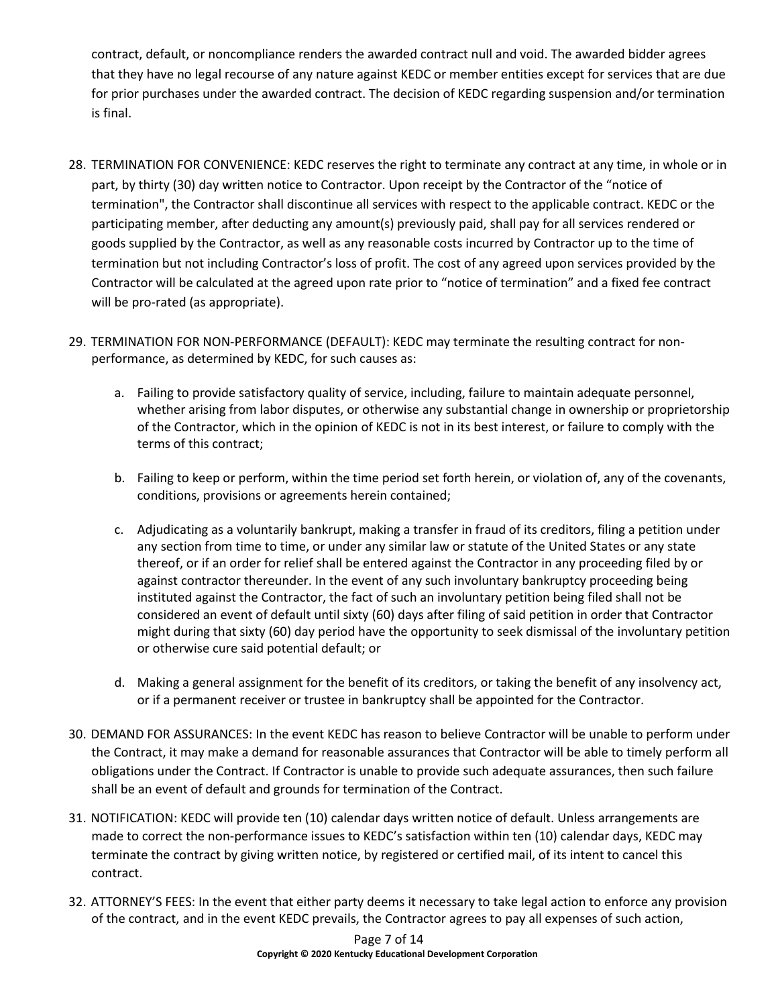contract, default, or noncompliance renders the awarded contract null and void. The awarded bidder agrees that they have no legal recourse of any nature against KEDC or member entities except for services that are due for prior purchases under the awarded contract. The decision of KEDC regarding suspension and/or termination is final.

- 28. TERMINATION FOR CONVENIENCE: KEDC reserves the right to terminate any contract at any time, in whole or in part, by thirty (30) day written notice to Contractor. Upon receipt by the Contractor of the "notice of termination", the Contractor shall discontinue all services with respect to the applicable contract. KEDC or the participating member, after deducting any amount(s) previously paid, shall pay for all services rendered or goods supplied by the Contractor, as well as any reasonable costs incurred by Contractor up to the time of termination but not including Contractor's loss of profit. The cost of any agreed upon services provided by the Contractor will be calculated at the agreed upon rate prior to "notice of termination" and a fixed fee contract will be pro-rated (as appropriate).
- 29. TERMINATION FOR NON-PERFORMANCE (DEFAULT): KEDC may terminate the resulting contract for nonperformance, as determined by KEDC, for such causes as:
	- a. Failing to provide satisfactory quality of service, including, failure to maintain adequate personnel, whether arising from labor disputes, or otherwise any substantial change in ownership or proprietorship of the Contractor, which in the opinion of KEDC is not in its best interest, or failure to comply with the terms of this contract;
	- b. Failing to keep or perform, within the time period set forth herein, or violation of, any of the covenants, conditions, provisions or agreements herein contained;
	- c. Adjudicating as a voluntarily bankrupt, making a transfer in fraud of its creditors, filing a petition under any section from time to time, or under any similar law or statute of the United States or any state thereof, or if an order for relief shall be entered against the Contractor in any proceeding filed by or against contractor thereunder. In the event of any such involuntary bankruptcy proceeding being instituted against the Contractor, the fact of such an involuntary petition being filed shall not be considered an event of default until sixty (60) days after filing of said petition in order that Contractor might during that sixty (60) day period have the opportunity to seek dismissal of the involuntary petition or otherwise cure said potential default; or
	- d. Making a general assignment for the benefit of its creditors, or taking the benefit of any insolvency act, or if a permanent receiver or trustee in bankruptcy shall be appointed for the Contractor.
- 30. DEMAND FOR ASSURANCES: In the event KEDC has reason to believe Contractor will be unable to perform under the Contract, it may make a demand for reasonable assurances that Contractor will be able to timely perform all obligations under the Contract. If Contractor is unable to provide such adequate assurances, then such failure shall be an event of default and grounds for termination of the Contract.
- 31. NOTIFICATION: KEDC will provide ten (10) calendar days written notice of default. Unless arrangements are made to correct the non-performance issues to KEDC's satisfaction within ten (10) calendar days, KEDC may terminate the contract by giving written notice, by registered or certified mail, of its intent to cancel this contract.
- 32. ATTORNEY'S FEES: In the event that either party deems it necessary to take legal action to enforce any provision of the contract, and in the event KEDC prevails, the Contractor agrees to pay all expenses of such action,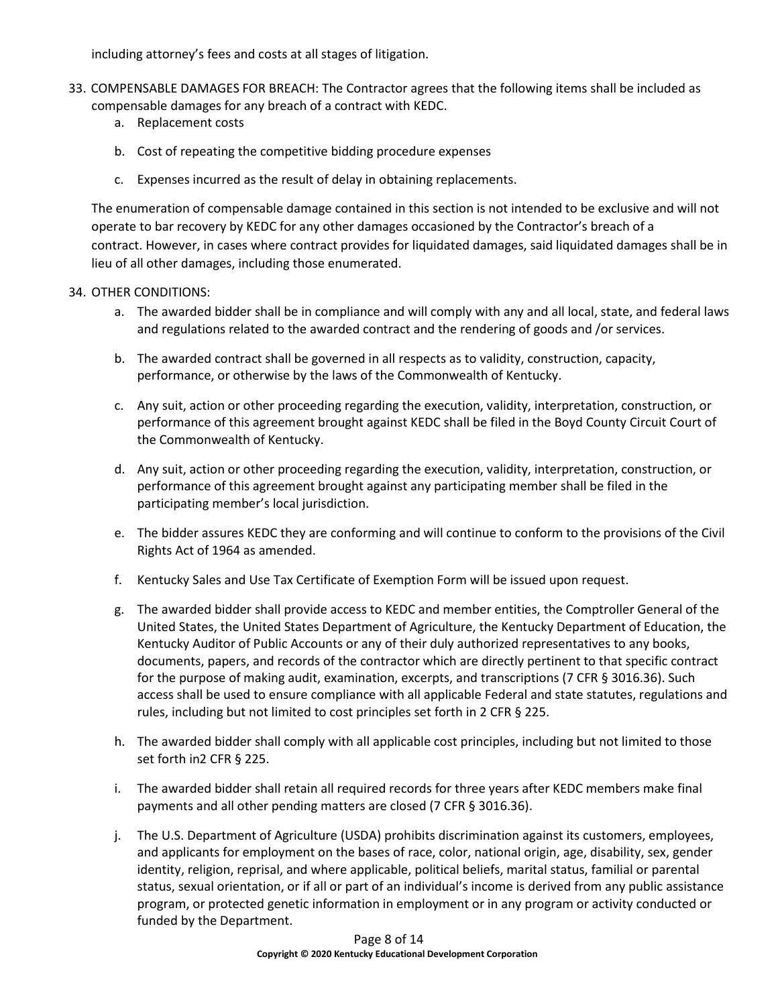including attorney's fees and costs at all stages of litigation.

- 33. COMPENSABLE DAMAGES FOR BREACH: The Contractor agrees that the following items shall be included as compensable damages for any breach of a contract with KEDC.
	- a. Replacement costs
	- b. Cost of repeating the competitive bidding procedure expenses
	- c. Expenses incurred as the result of delay in obtaining replacements.

The enumeration of compensable damage contained in this section is not intended to be exclusive and will not operate to bar recovery by KEDC for any other damages occasioned by the Contractor's breach of a contract. However, in cases where contract provides for liquidated damages, said liquidated damages shall be in lieu of all other damages, including those enumerated.

### 34. OTHER CONDITIONS:

- a. The awarded bidder shall be in compliance and will comply with any and all local, state, and federal laws and regulations related to the awarded contract and the rendering of goods and /or services.
- b. The awarded contract shall be governed in all respects as to validity, construction, capacity, performance, or otherwise by the laws of the Commonwealth of Kentucky.
- c. Any suit, action or other proceeding regarding the execution, validity, interpretation, construction, or performance of this agreement brought against KEDC shall be filed in the Boyd County Circuit Court of the Commonwealth of Kentucky.
- d. Any suit, action or other proceeding regarding the execution, validity, interpretation, construction, or performance of this agreement brought against any participating member shall be filed in the participating member's local jurisdiction.
- e. The bidder assures KEDC they are conforming and will continue to conform to the provisions of the Civil Rights Act of 1964 as amended.
- f. Kentucky Sales and Use Tax Certificate of Exemption Form will be issued upon request.
- g. The awarded bidder shall provide access to KEDC and member entities, the Comptroller General of the United States, the United States Department of Agriculture, the Kentucky Department of Education, the Kentucky Auditor of Public Accounts or any of their duly authorized representatives to any books, documents, papers, and records of the contractor which are directly pertinent to that specific contract for the purpose of making audit, examination, excerpts, and transcriptions (7 CFR § 3016.36). Such access shall be used to ensure compliance with all applicable Federal and state statutes, regulations and rules, including but not limited to cost principles set forth in 2 CFR § 225.
- h. The awarded bidder shall comply with all applicable cost principles, including but not limited to those set forth in2 CFR § 225.
- i. The awarded bidder shall retain all required records for three years after KEDC members make final payments and all other pending matters are closed (7 CFR § 3016.36).
- j. The U.S. Department of Agriculture (USDA) prohibits discrimination against its customers, employees, and applicants for employment on the bases of race, color, national origin, age, disability, sex, gender identity, religion, reprisal, and where applicable, political beliefs, marital status, familial or parental status, sexual orientation, or if all or part of an individual's income is derived from any public assistance program, or protected genetic information in employment or in any program or activity conducted or funded by the Department.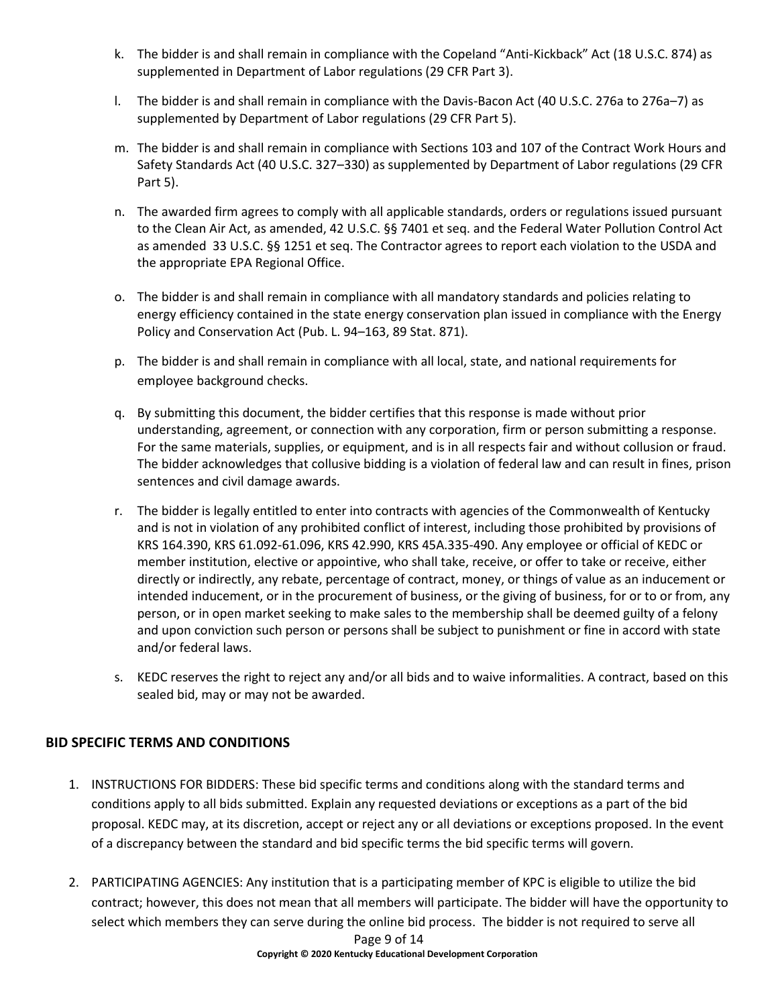- k. The bidder is and shall remain in compliance with the Copeland "Anti-Kickback" Act (18 U.S.C. 874) as supplemented in Department of Labor regulations (29 CFR Part 3).
- l. The bidder is and shall remain in compliance with the Davis-Bacon Act (40 U.S.C. 276a to 276a–7) as supplemented by Department of Labor regulations (29 CFR Part 5).
- m. The bidder is and shall remain in compliance with Sections 103 and 107 of the Contract Work Hours and Safety Standards Act (40 U.S.C. 327–330) as supplemented by Department of Labor regulations (29 CFR Part 5).
- n. The awarded firm agrees to comply with all applicable standards, orders or regulations issued pursuant to the Clean Air Act, as amended, 42 U.S.C. §§ 7401 et seq. and the Federal Water Pollution Control Act as amended 33 U.S.C. §§ 1251 et seq. The Contractor agrees to report each violation to the USDA and the appropriate EPA Regional Office.
- o. The bidder is and shall remain in compliance with all mandatory standards and policies relating to energy efficiency contained in the state energy conservation plan issued in compliance with the Energy Policy and Conservation Act (Pub. L. 94–163, 89 Stat. 871).
- p. The bidder is and shall remain in compliance with all local, state, and national requirements for employee background checks.
- q. By submitting this document, the bidder certifies that this response is made without prior understanding, agreement, or connection with any corporation, firm or person submitting a response. For the same materials, supplies, or equipment, and is in all respects fair and without collusion or fraud. The bidder acknowledges that collusive bidding is a violation of federal law and can result in fines, prison sentences and civil damage awards.
- r. The bidder is legally entitled to enter into contracts with agencies of the Commonwealth of Kentucky and is not in violation of any prohibited conflict of interest, including those prohibited by provisions of KRS 164.390, KRS 61.092-61.096, KRS 42.990, KRS 45A.335-490. Any employee or official of KEDC or member institution, elective or appointive, who shall take, receive, or offer to take or receive, either directly or indirectly, any rebate, percentage of contract, money, or things of value as an inducement or intended inducement, or in the procurement of business, or the giving of business, for or to or from, any person, or in open market seeking to make sales to the membership shall be deemed guilty of a felony and upon conviction such person or persons shall be subject to punishment or fine in accord with state and/or federal laws.
- s. KEDC reserves the right to reject any and/or all bids and to waive informalities. A contract, based on this sealed bid, may or may not be awarded.

## **BID SPECIFIC TERMS AND CONDITIONS**

- 1. INSTRUCTIONS FOR BIDDERS: These bid specific terms and conditions along with the standard terms and conditions apply to all bids submitted. Explain any requested deviations or exceptions as a part of the bid proposal. KEDC may, at its discretion, accept or reject any or all deviations or exceptions proposed. In the event of a discrepancy between the standard and bid specific terms the bid specific terms will govern.
- 2. PARTICIPATING AGENCIES: Any institution that is a participating member of KPC is eligible to utilize the bid contract; however, this does not mean that all members will participate. The bidder will have the opportunity to select which members they can serve during the online bid process. The bidder is not required to serve all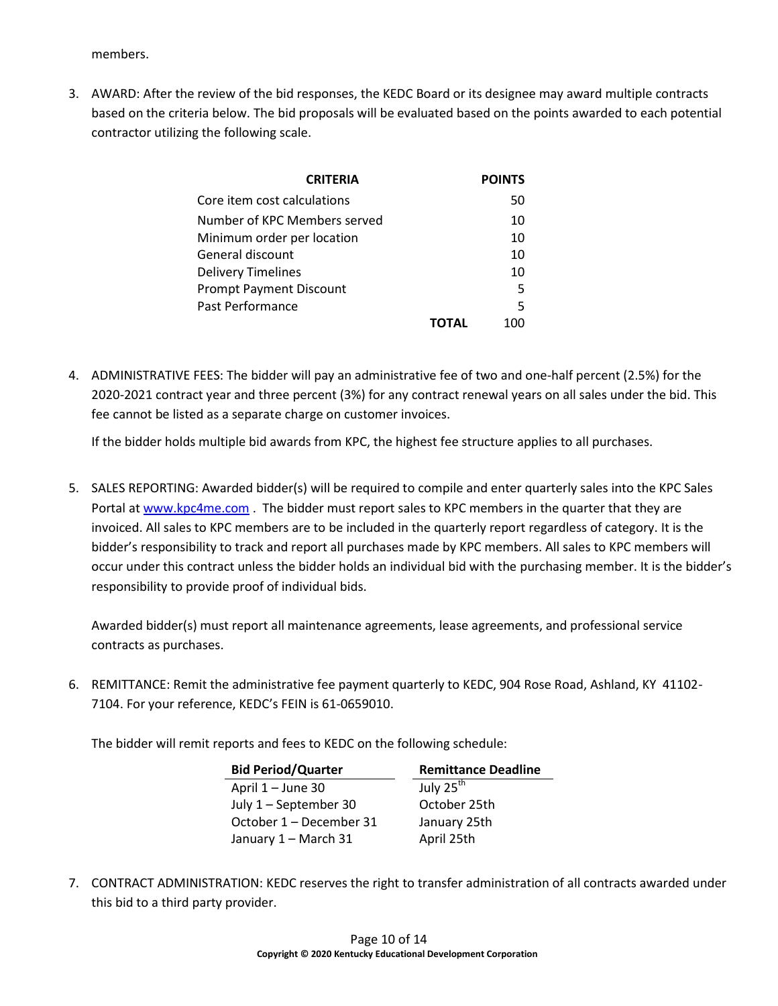members.

3. AWARD: After the review of the bid responses, the KEDC Board or its designee may award multiple contracts based on the criteria below. The bid proposals will be evaluated based on the points awarded to each potential contractor utilizing the following scale.

| <b>CRITERIA</b>                | <b>POINTS</b> |
|--------------------------------|---------------|
| Core item cost calculations    | 50            |
| Number of KPC Members served   | 10            |
| Minimum order per location     | 10            |
| General discount               | 10            |
| <b>Delivery Timelines</b>      | 10            |
| <b>Prompt Payment Discount</b> | .5            |
| Past Performance               | 5             |
|                                |               |

4. ADMINISTRATIVE FEES: The bidder will pay an administrative fee of two and one-half percent (2.5%) for the 2020-2021 contract year and three percent (3%) for any contract renewal years on all sales under the bid. This fee cannot be listed as a separate charge on customer invoices.

If the bidder holds multiple bid awards from KPC, the highest fee structure applies to all purchases.

5. SALES REPORTING: Awarded bidder(s) will be required to compile and enter quarterly sales into the KPC Sales Portal a[t www.kpc4me.com](http://www.kpc4me.com/). The bidder must report sales to KPC members in the quarter that they are invoiced. All sales to KPC members are to be included in the quarterly report regardless of category. It is the bidder's responsibility to track and report all purchases made by KPC members. All sales to KPC members will occur under this contract unless the bidder holds an individual bid with the purchasing member. It is the bidder's responsibility to provide proof of individual bids.

Awarded bidder(s) must report all maintenance agreements, lease agreements, and professional service contracts as purchases.

6. REMITTANCE: Remit the administrative fee payment quarterly to KEDC, 904 Rose Road, Ashland, KY 41102- 7104. For your reference, KEDC's FEIN is 61-0659010.

The bidder will remit reports and fees to KEDC on the following schedule:

| <b>Bid Period/Quarter</b> | <b>Remittance Deadline</b> |  |
|---------------------------|----------------------------|--|
| April 1 - June 30         | July 25 <sup>th</sup>      |  |
| July 1 - September 30     | October 25th               |  |
| October 1 - December 31   | January 25th               |  |
| January 1 - March 31      | April 25th                 |  |

7. CONTRACT ADMINISTRATION: KEDC reserves the right to transfer administration of all contracts awarded under this bid to a third party provider.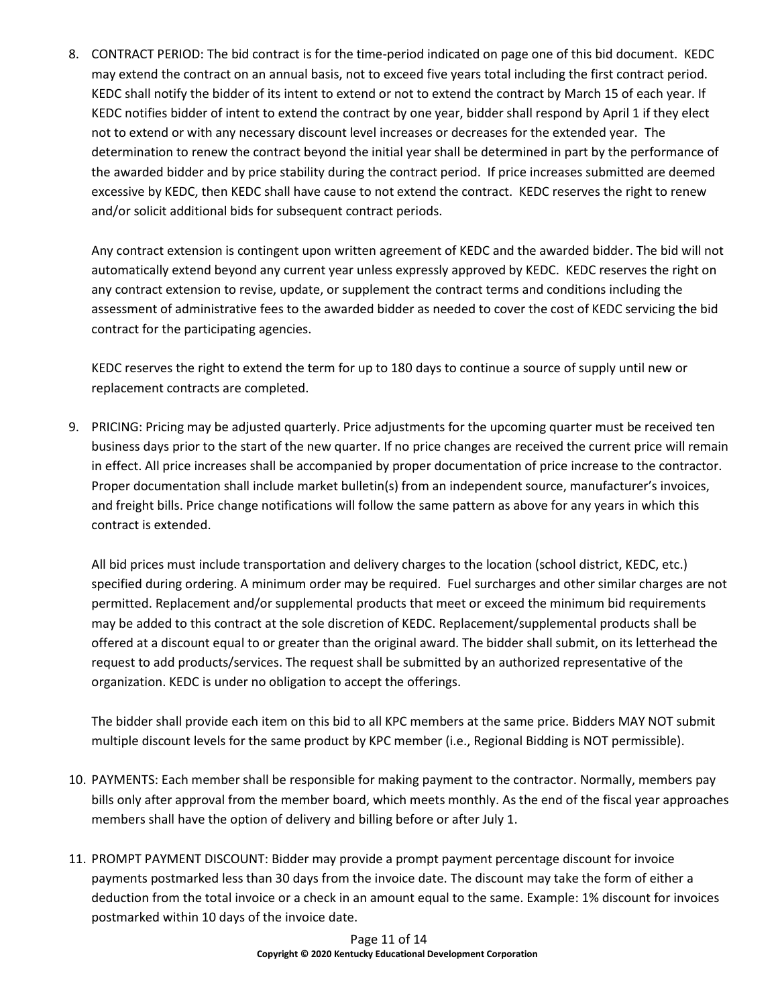8. CONTRACT PERIOD: The bid contract is for the time-period indicated on page one of this bid document. KEDC may extend the contract on an annual basis, not to exceed five years total including the first contract period. KEDC shall notify the bidder of its intent to extend or not to extend the contract by March 15 of each year. If KEDC notifies bidder of intent to extend the contract by one year, bidder shall respond by April 1 if they elect not to extend or with any necessary discount level increases or decreases for the extended year. The determination to renew the contract beyond the initial year shall be determined in part by the performance of the awarded bidder and by price stability during the contract period. If price increases submitted are deemed excessive by KEDC, then KEDC shall have cause to not extend the contract. KEDC reserves the right to renew and/or solicit additional bids for subsequent contract periods.

Any contract extension is contingent upon written agreement of KEDC and the awarded bidder. The bid will not automatically extend beyond any current year unless expressly approved by KEDC. KEDC reserves the right on any contract extension to revise, update, or supplement the contract terms and conditions including the assessment of administrative fees to the awarded bidder as needed to cover the cost of KEDC servicing the bid contract for the participating agencies.

KEDC reserves the right to extend the term for up to 180 days to continue a source of supply until new or replacement contracts are completed.

9. PRICING: Pricing may be adjusted quarterly. Price adjustments for the upcoming quarter must be received ten business days prior to the start of the new quarter. If no price changes are received the current price will remain in effect. All price increases shall be accompanied by proper documentation of price increase to the contractor. Proper documentation shall include market bulletin(s) from an independent source, manufacturer's invoices, and freight bills. Price change notifications will follow the same pattern as above for any years in which this contract is extended.

All bid prices must include transportation and delivery charges to the location (school district, KEDC, etc.) specified during ordering. A minimum order may be required. Fuel surcharges and other similar charges are not permitted. Replacement and/or supplemental products that meet or exceed the minimum bid requirements may be added to this contract at the sole discretion of KEDC. Replacement/supplemental products shall be offered at a discount equal to or greater than the original award. The bidder shall submit, on its letterhead the request to add products/services. The request shall be submitted by an authorized representative of the organization. KEDC is under no obligation to accept the offerings.

The bidder shall provide each item on this bid to all KPC members at the same price. Bidders MAY NOT submit multiple discount levels for the same product by KPC member (i.e., Regional Bidding is NOT permissible).

- 10. PAYMENTS: Each member shall be responsible for making payment to the contractor. Normally, members pay bills only after approval from the member board, which meets monthly. As the end of the fiscal year approaches members shall have the option of delivery and billing before or after July 1.
- 11. PROMPT PAYMENT DISCOUNT: Bidder may provide a prompt payment percentage discount for invoice payments postmarked less than 30 days from the invoice date. The discount may take the form of either a deduction from the total invoice or a check in an amount equal to the same. Example: 1% discount for invoices postmarked within 10 days of the invoice date.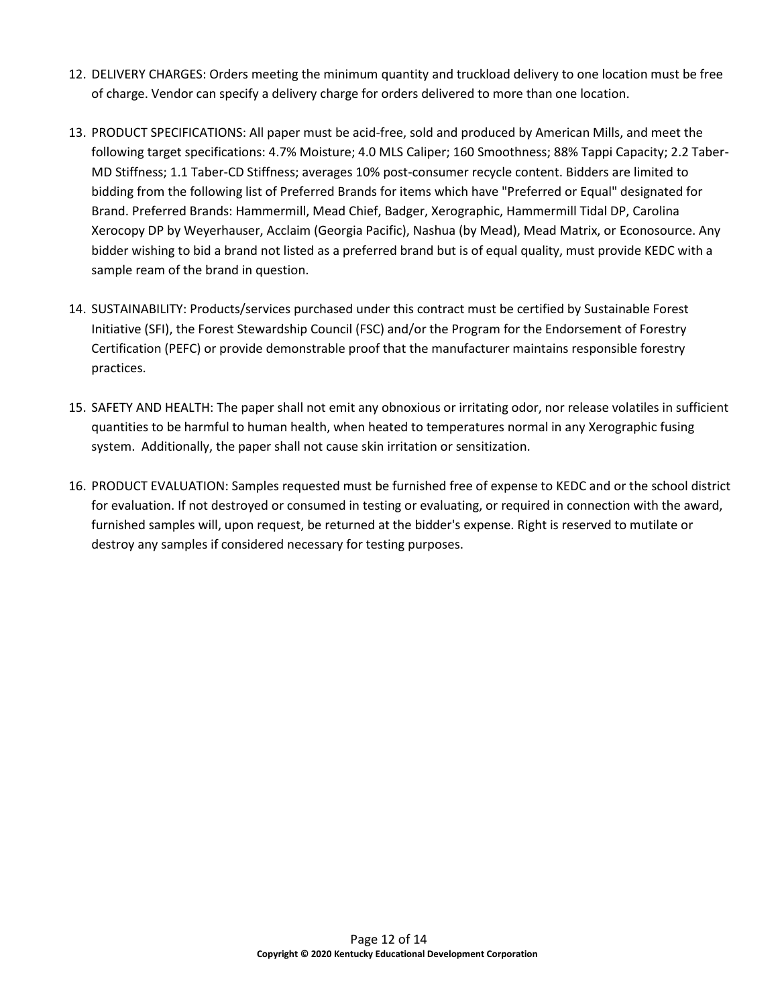- 12. DELIVERY CHARGES: Orders meeting the minimum quantity and truckload delivery to one location must be free of charge. Vendor can specify a delivery charge for orders delivered to more than one location.
- 13. PRODUCT SPECIFICATIONS: All paper must be acid-free, sold and produced by American Mills, and meet the following target specifications: 4.7% Moisture; 4.0 MLS Caliper; 160 Smoothness; 88% Tappi Capacity; 2.2 Taber-MD Stiffness; 1.1 Taber-CD Stiffness; averages 10% post-consumer recycle content. Bidders are limited to bidding from the following list of Preferred Brands for items which have "Preferred or Equal" designated for Brand. Preferred Brands: Hammermill, Mead Chief, Badger, Xerographic, Hammermill Tidal DP, Carolina Xerocopy DP by Weyerhauser, Acclaim (Georgia Pacific), Nashua (by Mead), Mead Matrix, or Econosource. Any bidder wishing to bid a brand not listed as a preferred brand but is of equal quality, must provide KEDC with a sample ream of the brand in question.
- 14. SUSTAINABILITY: Products/services purchased under this contract must be certified by Sustainable Forest Initiative (SFI), the Forest Stewardship Council (FSC) and/or the Program for the Endorsement of Forestry Certification (PEFC) or provide demonstrable proof that the manufacturer maintains responsible forestry practices.
- 15. SAFETY AND HEALTH: The paper shall not emit any obnoxious or irritating odor, nor release volatiles in sufficient quantities to be harmful to human health, when heated to temperatures normal in any Xerographic fusing system. Additionally, the paper shall not cause skin irritation or sensitization.
- 16. PRODUCT EVALUATION: Samples requested must be furnished free of expense to KEDC and or the school district for evaluation. If not destroyed or consumed in testing or evaluating, or required in connection with the award, furnished samples will, upon request, be returned at the bidder's expense. Right is reserved to mutilate or destroy any samples if considered necessary for testing purposes.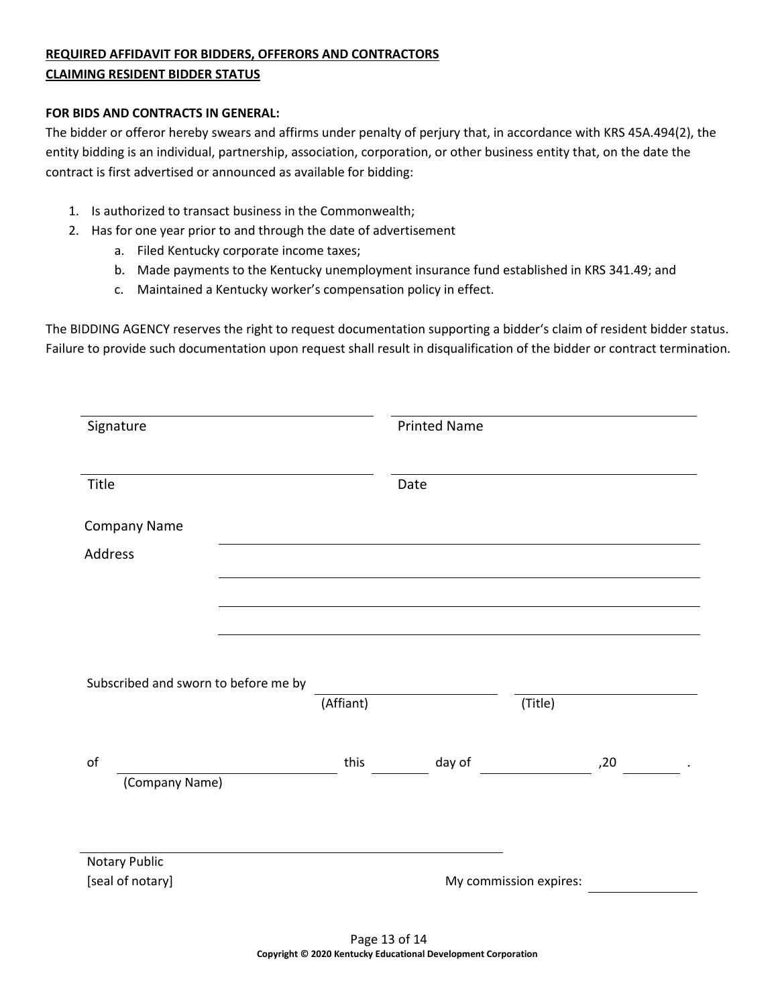# **REQUIRED AFFIDAVIT FOR BIDDERS, OFFERORS AND CONTRACTORS CLAIMING RESIDENT BIDDER STATUS**

#### **FOR BIDS AND CONTRACTS IN GENERAL:**

The bidder or offeror hereby swears and affirms under penalty of perjury that, in accordance with KRS 45A.494(2), the entity bidding is an individual, partnership, association, corporation, or other business entity that, on the date the contract is first advertised or announced as available for bidding:

- 1. Is authorized to transact business in the Commonwealth;
- 2. Has for one year prior to and through the date of advertisement
	- a. Filed Kentucky corporate income taxes;
	- b. Made payments to the Kentucky unemployment insurance fund established in KRS 341.49; and
	- c. Maintained a Kentucky worker's compensation policy in effect.

The BIDDING AGENCY reserves the right to request documentation supporting a bidder's claim of resident bidder status. Failure to provide such documentation upon request shall result in disqualification of the bidder or contract termination.

| Signature                            |           | <b>Printed Name</b> |                        |     |
|--------------------------------------|-----------|---------------------|------------------------|-----|
| Title                                |           | Date                |                        |     |
| Company Name                         |           |                     |                        |     |
| Address                              |           |                     |                        |     |
|                                      |           |                     |                        |     |
|                                      |           |                     |                        |     |
|                                      |           |                     |                        |     |
| Subscribed and sworn to before me by |           |                     |                        |     |
|                                      | (Affiant) |                     | (Title)                |     |
| of<br>(Company Name)                 | this      | day of              |                        | ,20 |
|                                      |           |                     |                        |     |
|                                      |           |                     |                        |     |
| Notary Public<br>[seal of notary]    |           |                     |                        |     |
|                                      |           |                     | My commission expires: |     |